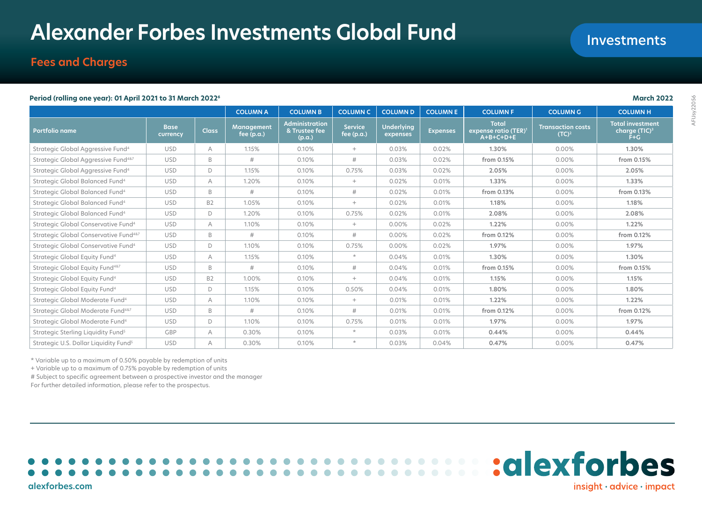# **Alexander Forbes Investments Global Fund**

# **Fees and Charges**

#### **Period (rolling one year): 01 April 2021 to 31 March 20226 March 2022**

|                                                       |                         |              | <b>COLUMN A</b>            | <b>COLUMN B</b>                                  | <b>COLUMN C</b>                | <b>COLUMN D</b>               | <b>COLUMNE</b>  | <b>COLUMN F</b>                                                 | <b>COLUMN G</b>                               | <b>COLUMNH</b>                                                   |
|-------------------------------------------------------|-------------------------|--------------|----------------------------|--------------------------------------------------|--------------------------------|-------------------------------|-----------------|-----------------------------------------------------------------|-----------------------------------------------|------------------------------------------------------------------|
| <b>Portfolio name</b>                                 | <b>Base</b><br>currency | <b>Class</b> | Management<br>fee $(p.a.)$ | <b>Administration</b><br>& Trustee fee<br>(p.a.) | <b>Service</b><br>fee $(p.a.)$ | <b>Underlying</b><br>expenses | <b>Expenses</b> | <b>Total</b><br>expense ratio (TER) <sup>1</sup><br>$A+B+C+D+E$ | <b>Transaction costs</b><br>(TC) <sup>2</sup> | <b>Total investment</b><br>charge (TIC) <sup>31</sup><br>$F + G$ |
| Strategic Global Aggressive Fund <sup>4</sup>         | <b>USD</b>              | A            | 1.15%                      | 0.10%                                            | $+$                            | 0.03%                         | 0.02%           | 1.30%                                                           | $0.00\%$                                      | 1.30%                                                            |
| Strategic Global Aggressive Fund <sup>487</sup>       | <b>USD</b>              | B            | #                          | 0.10%                                            | #                              | 0.03%                         | 0.02%           | from 0.15%                                                      | 0.00%                                         | from 0.15%                                                       |
| Strategic Global Aggressive Fund <sup>4</sup>         | <b>USD</b>              | D            | 1.15%                      | 0.10%                                            | 0.75%                          | 0.03%                         | 0.02%           | 2.05%                                                           | 0.00%                                         | 2.05%                                                            |
| Strategic Global Balanced Fund <sup>4</sup>           | <b>USD</b>              | A            | 1.20%                      | 0.10%                                            | $+$                            | 0.02%                         | 0.01%           | 1.33%                                                           | 0.00%                                         | 1.33%                                                            |
| Strategic Global Balanced Fund <sup>4</sup>           | <b>USD</b>              | B            | #                          | 0.10%                                            | #                              | 0.02%                         | 0.01%           | from 0.13%                                                      | 0.00%                                         | from 0.13%                                                       |
| Strategic Global Balanced Fund <sup>4</sup>           | <b>USD</b>              | <b>B2</b>    | 1.05%                      | 0.10%                                            | $+$                            | 0.02%                         | 0.01%           | 1.18%                                                           | 0.00%                                         | 1.18%                                                            |
| Strategic Global Balanced Fund <sup>4</sup>           | <b>USD</b>              | D            | 1.20%                      | 0.10%                                            | 0.75%                          | 0.02%                         | 0.01%           | 2.08%                                                           | 0.00%                                         | 2.08%                                                            |
| Strategic Global Conservative Fund <sup>4</sup>       | <b>USD</b>              | A            | 1.10%                      | 0.10%                                            | $+$                            | 0.00%                         | 0.02%           | 1.22%                                                           | 0.00%                                         | 1.22%                                                            |
| Strategic Global Conservative Fund <sup>4&amp;7</sup> | <b>USD</b>              | B            | #                          | 0.10%                                            | #                              | 0.00%                         | 0.02%           | from 0.12%                                                      | 0.00%                                         | from 0.12%                                                       |
| Strategic Global Conservative Fund <sup>4</sup>       | <b>USD</b>              | D            | 1.10%                      | 0.10%                                            | 0.75%                          | 0.00%                         | 0.02%           | 1.97%                                                           | 0.00%                                         | 1.97%                                                            |
| Strategic Global Equity Fund <sup>4</sup>             | <b>USD</b>              | A            | 1.15%                      | 0.10%                                            | $\star$                        | 0.04%                         | 0.01%           | 1.30%                                                           | 0.00%                                         | 1.30%                                                            |
| Strategic Global Equity Fund <sup>4&amp;7</sup>       | <b>USD</b>              | B            | #                          | 0.10%                                            | #                              | 0.04%                         | 0.01%           | from 0.15%                                                      | 0.00%                                         | from 0.15%                                                       |
| Strategic Global Equity Fund <sup>4</sup>             | <b>USD</b>              | <b>B2</b>    | 1.00%                      | 0.10%                                            | $+$                            | 0.04%                         | 0.01%           | 1.15%                                                           | 0.00%                                         | 1.15%                                                            |
| Strategic Global Equity Fund <sup>4</sup>             | <b>USD</b>              | D            | 1.15%                      | 0.10%                                            | 0.50%                          | 0.04%                         | 0.01%           | 1.80%                                                           | 0.00%                                         | 1.80%                                                            |
| Strategic Global Moderate Fund <sup>4</sup>           | <b>USD</b>              | A            | 1.10%                      | 0.10%                                            | $+$                            | 0.01%                         | 0.01%           | 1.22%                                                           | $0.00\%$                                      | 1.22%                                                            |
| Strategic Global Moderate Fund <sup>4&amp;7</sup>     | <b>USD</b>              | B            | #                          | 0.10%                                            | #                              | 0.01%                         | 0.01%           | from 0.12%                                                      | 0.00%                                         | from 0.12%                                                       |
| Strategic Global Moderate Fund <sup>4</sup>           | <b>USD</b>              | $\Box$       | 1.10%                      | 0.10%                                            | 0.75%                          | 0.01%                         | 0.01%           | 1.97%                                                           | 0.00%                                         | 1.97%                                                            |
| Strategic Sterling Liquidity Fund <sup>5</sup>        | <b>GBP</b>              | A            | 0.30%                      | 0.10%                                            | $\star$                        | 0.03%                         | 0.01%           | 0.44%                                                           | 0.00%                                         | 0.44%                                                            |
| Strategic U.S. Dollar Liquidity Fund <sup>5</sup>     | <b>USD</b>              | А            | 0.30%                      | 0.10%                                            | $\star$                        | 0.03%                         | 0.04%           | 0.47%                                                           | 0.00%                                         | 0.47%                                                            |

\* Variable up to a maximum of 0.50% payable by redemption of units

+ Variable up to a maximum of 0.75% payable by redemption of units

# Subject to specific agreement between a prospective investor and the manager

For further detailed information, please refer to the prospectus.



**alexforbes.com**

Investments

 $insight \cdot advice \cdot impact$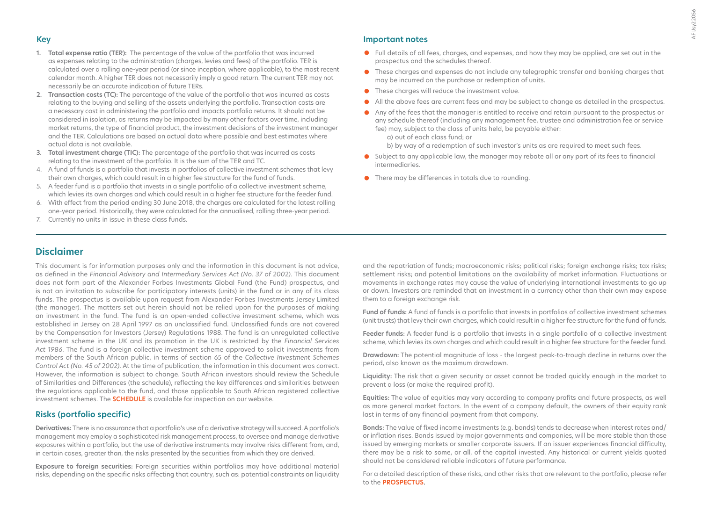## **Key**

- **1. Total expense ratio (TER):** The percentage of the value of the portfolio that was incurred as expenses relating to the administration (charges, levies and fees) of the portfolio. TER is calculated over a rolling one-year period (or since inception, where applicable), to the most recent calendar month. A higher TER does not necessarily imply a good return. The current TER may not necessarily be an accurate indication of future TERs.
- **2. Transaction costs (TC):** The percentage of the value of the portfolio that was incurred as costs relating to the buying and selling of the assets underlying the portfolio. Transaction costs are a necessary cost in administering the portfolio and impacts portfolio returns. It should not be considered in isolation, as returns may be impacted by many other factors over time, including market returns, the type of financial product, the investment decisions of the investment manager and the TER. Calculations are based on actual data where possible and best estimates where actual data is not available.
- **3. Total investment charge (TIC):** The percentage of the portfolio that was incurred as costs relating to the investment of the portfolio. It is the sum of the TER and TC.
- 4. A fund of funds is a portfolio that invests in portfolios of collective investment schemes that levy their own charges, which could result in a higher fee structure for the fund of funds.
- 5. A feeder fund is a portfolio that invests in a single portfolio of a collective investment scheme, which levies its own charges and which could result in a higher fee structure for the feeder fund.
- 6. With effect from the period ending 30 June 2018, the charges are calculated for the latest rolling one-year period. Historically, they were calculated for the annualised, rolling three-year period.
- 7. Currently no units in issue in these class funds.

#### **Important notes**

- **•** Full details of all fees, charges, and expenses, and how they may be applied, are set out in the prospectus and the schedules thereof.
- **•** These charges and expenses do not include any telegraphic transfer and banking charges that may be incurred on the purchase or redemption of units.
- **•** These charges will reduce the investment value.
- **•** All the above fees are current fees and may be subject to change as detailed in the prospectus.
- **•** Any of the fees that the manager is entitled to receive and retain pursuant to the prospectus or any schedule thereof (including any management fee, trustee and administration fee or service fee) may, subject to the class of units held, be payable either:
	- a) out of each class fund; or
	- b) by way of a redemption of such investor's units as are required to meet such fees.
- **•** Subject to any applicable law, the manager may rebate all or any part of its fees to financial intermediaries.
- **•** There may be differences in totals due to rounding.

# **Disclaimer**

This document is for information purposes only and the information in this document is not advice, as defined in the *Financial Advisory and Intermediary Services Act (No. 37 of 2002)*. This document does not form part of the Alexander Forbes Investments Global Fund (the Fund) prospectus, and is not an invitation to subscribe for participatory interests (units) in the fund or in any of its class funds. The prospectus is available upon request from Alexander Forbes Investments Jersey Limited (the manager). The matters set out herein should not be relied upon for the purposes of making an investment in the fund. The fund is an open-ended collective investment scheme, which was established in Jersey on 28 April 1997 as an unclassified fund. Unclassified funds are not covered by the Compensation for Investors (Jersey) Regulations 1988. The fund is an unregulated collective investment scheme in the UK and its promotion in the UK is restricted by the *Financial Services Act 1986*. The fund is a foreign collective investment scheme approved to solicit investments from members of the South African public, in terms of section 65 of the *Collective Investment Schemes Control Act (No. 45 of 2002)*. At the time of publication, the information in this document was correct. However, the information is subject to change. South African investors should review the Schedule of Similarities and Differences (the schedule), reflecting the key differences and similarities between the regulations applicable to the fund, and those applicable to South African registered collective investment schemes. The **[SCHEDULE](https://www.alexanderforbesinvestments.co.je/Documentation/DownloadFile?mappingName=IsJersey&fileName=SGF_Similarities_and_Differences.pdf)** is available for inspection on our website.

## **Risks (portfolio specific)**

**Derivatives:** There is no assurance that a portfolio's use of a derivative strategy will succeed. A portfolio's management may employ a sophisticated risk management process, to oversee and manage derivative exposures within a portfolio, but the use of derivative instruments may involve risks different from, and, in certain cases, greater than, the risks presented by the securities from which they are derived.

**Exposure to foreign securities:** Foreign securities within portfolios may have additional material risks, depending on the specific risks affecting that country, such as: potential constraints on liquidity

and the repatriation of funds; macroeconomic risks; political risks; foreign exchange risks; tax risks; settlement risks; and potential limitations on the availability of market information. Fluctuations or movements in exchange rates may cause the value of underlying international investments to go up or down. Investors are reminded that an investment in a currency other than their own may expose them to a foreign exchange risk.

**Fund of funds:** A fund of funds is a portfolio that invests in portfolios of collective investment schemes (unit trusts) that levy their own charges, which could result in a higher fee structure for the fund of funds.

**Feeder funds:** A feeder fund is a portfolio that invests in a single portfolio of a collective investment scheme, which levies its own charges and which could result in a higher fee structure for the feeder fund.

**Drawdown:** The potential magnitude of loss - the largest peak-to-trough decline in returns over the period, also known as the maximum drawdown.

**Liquidity:** The risk that a given security or asset cannot be traded quickly enough in the market to prevent a loss (or make the required profit).

**Equities:** The value of equities may vary according to company profits and future prospects, as well as more general market factors. In the event of a company default, the owners of their equity rank last in terms of any financial payment from that company.

**Bonds:** The value of fixed income investments (e.g. bonds) tends to decrease when interest rates and/ or inflation rises. Bonds issued by major governments and companies, will be more stable than those issued by emerging markets or smaller corporate issuers. If an issuer experiences financial difficulty, there may be a risk to some, or all, of the capital invested. Any historical or current yields quoted should not be considered reliable indicators of future performance.

For a detailed description of these risks, and other risks that are relevant to the portfolio, please refer to the **[PROSPECTUS](https://www.alexanderforbesinvestments.co.je/Documentation/DownloadFile?mappingName=IsJersey&fileName=Prospectus.pdf)**.